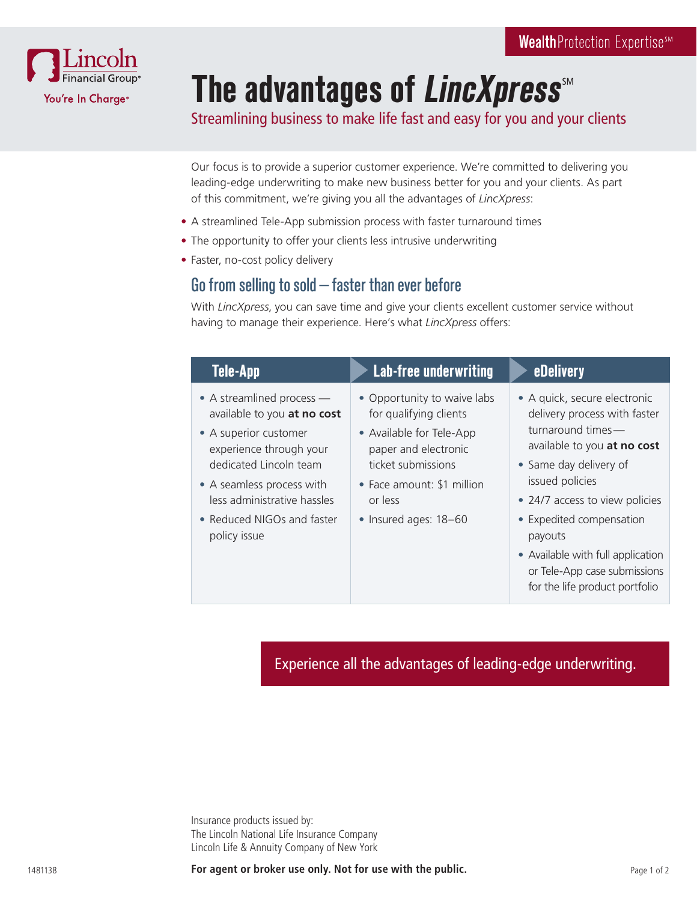

# **The advantages of LincXpress**

Streamlining business to make life fast and easy for you and your clients

Our focus is to provide a superior customer experience. We're committed to delivering you leading-edge underwriting to make new business better for you and your clients. As part of this commitment, we're giving you all the advantages of *LincXpress*:

- A streamlined Tele-App submission process with faster turnaround times
- The opportunity to offer your clients less intrusive underwriting
- Faster, no-cost policy delivery

#### Go from selling to sold—faster than ever before

With *LincXpress*, you can save time and give your clients excellent customer service without having to manage their experience. Here's what *LincXpress* offers:

| Tele-App                                                                                                     | <b>Lab-free underwriting</b>                                                                              | <b>eDelivery</b>                                                                                                 |
|--------------------------------------------------------------------------------------------------------------|-----------------------------------------------------------------------------------------------------------|------------------------------------------------------------------------------------------------------------------|
| • A streamlined process —<br>available to you at no cost<br>• A superior customer<br>experience through your | • Opportunity to waive labs<br>for qualifying clients<br>• Available for Tele-App<br>paper and electronic | • A quick, secure electronic<br>delivery process with faster<br>turnaround times-<br>available to you at no cost |
| dedicated Lincoln team<br>• A seamless process with<br>less administrative hassles                           | ticket submissions<br>• Face amount: \$1 million<br>or less                                               | • Same day delivery of<br>issued policies<br>• 24/7 access to view policies                                      |
| • Reduced NIGOs and faster<br>policy issue                                                                   | • Insured ages: 18-60                                                                                     | • Expedited compensation<br>payouts<br>• Available with full application                                         |
|                                                                                                              |                                                                                                           | or Tele-App case submissions<br>for the life product portfolio                                                   |

Experience all the advantages of leading-edge underwriting.

Insurance products issued by: The Lincoln National Life Insurance Company Lincoln Life & Annuity Company of New York